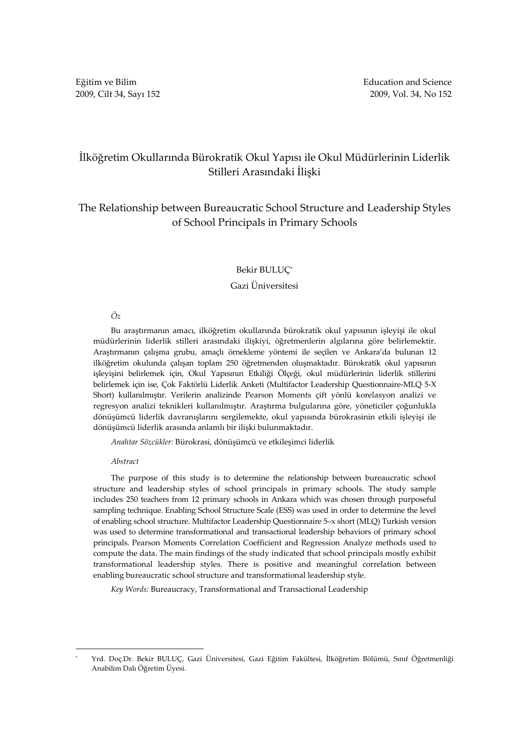# İlköğretim Okullarında Bürokratik Okul Yapısı ile Okul Müdürlerinin Liderlik Stilleri Arasındaki İlişki

# The Relationship between Bureaucratic School Structure and Leadership Styles of School Principals in Primary Schools

## Bekir BULUÇ\*

#### Gazi Üniversitesi

## Öz

Bu araştırmanın amacı, ilköğretim okullarında bürokratik okul yapısının işleyişi ile okul müdürlerinin liderlik stilleri arasındaki ilişkiyi, öğretmenlerin algılarına göre belirlemektir. Araştırmanın çalışma grubu, amaçlı örnekleme yöntemi ile seçilen ve Ankara'da bulunan 12 ilköğretim okulunda çalışan toplam 250 öğretmenden oluşmaktadır. Bürokratik okul yapısının işleyişini belirlemek için, Okul Yapısının Etkiliği Ölçeği, okul müdürlerinin liderlik stillerini belirlemek için ise, Çok Faktörlü Liderlik Anketi (Multifactor Leadership Questionnaire-MLQ 5-X Short) kullanılmıştır. Verilerin analizinde Pearson Moments çift yönlü korelasyon analizi ve regresyon analizi teknikleri kullanılmıştır. Araştırma bulgularına göre, yöneticiler çoğunlukla dönüşümcü liderlik davranışlarını sergilemekte, okul yapısında bürokrasinin etkili işleyişi ile dönüşümcü liderlik arasında anlamlı bir ilişki bulunmaktadır.

Anahtar Sözcükler: Bürokrasi, dönüşümcü ve etkileşimci liderlik

#### Abstract

 $\overline{a}$ 

The purpose of this study is to determine the relationship between bureaucratic school structure and leadership styles of school principals in primary schools. The study sample includes 250 teachers from 12 primary schools in Ankara which was chosen through purposeful sampling technique. Enabling School Structure Scale (ESS) was used in order to determine the level of enabling school structure. Multifactor Leadership Questionnaire 5–x short (MLQ) Turkish version was used to determine transformational and transactional leadership behaviors of primary school principals. Pearson Moments Correlation Coefficient and Regression Analyze methods used to compute the data. The main findings of the study indicated that school principals mostly exhibit transformational leadership styles. There is positive and meaningful correlation between enabling bureaucratic school structure and transformational leadership style.

Key Words: Bureaucracy, Transformational and Transactional Leadership

<sup>\*</sup> Yrd. Doç.Dr. Bekir BULUÇ, Gazi Üniversitesi, Gazi Eğitim Fakültesi, İlköğretim Bölümü, Sınıf Öğretmenliği Anabilim Dalı Öğretim Üyesi.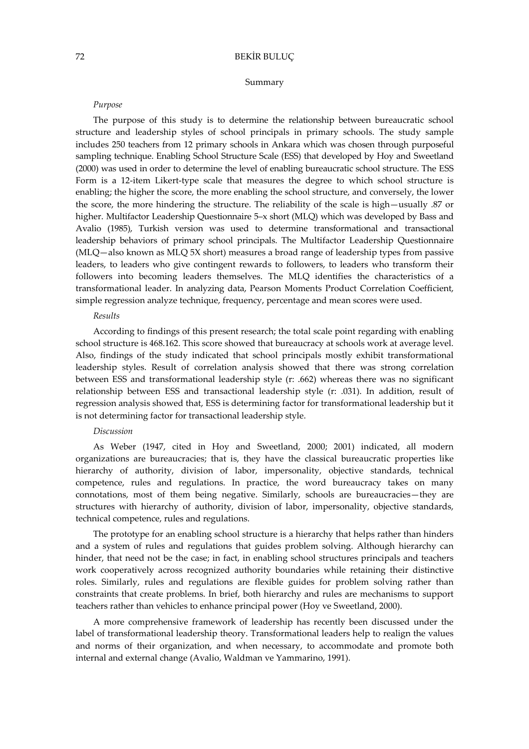#### Summary

#### Purpose

The purpose of this study is to determine the relationship between bureaucratic school structure and leadership styles of school principals in primary schools. The study sample includes 250 teachers from 12 primary schools in Ankara which was chosen through purposeful sampling technique. Enabling School Structure Scale (ESS) that developed by Hoy and Sweetland (2000) was used in order to determine the level of enabling bureaucratic school structure. The ESS Form is a 12-item Likert-type scale that measures the degree to which school structure is enabling; the higher the score, the more enabling the school structure, and conversely, the lower the score, the more hindering the structure. The reliability of the scale is high—usually .87 or higher. Multifactor Leadership Questionnaire 5-x short (MLQ) which was developed by Bass and Avalio (1985), Turkish version was used to determine transformational and transactional leadership behaviors of primary school principals. The Multifactor Leadership Questionnaire (MLQ—also known as MLQ 5X short) measures a broad range of leadership types from passive leaders, to leaders who give contingent rewards to followers, to leaders who transform their followers into becoming leaders themselves. The MLQ identifies the characteristics of a transformational leader. In analyzing data, Pearson Moments Product Correlation Coefficient, simple regression analyze technique, frequency, percentage and mean scores were used.

## Results

According to findings of this present research; the total scale point regarding with enabling school structure is 468.162. This score showed that bureaucracy at schools work at average level. Also, findings of the study indicated that school principals mostly exhibit transformational leadership styles. Result of correlation analysis showed that there was strong correlation between ESS and transformational leadership style (r: .662) whereas there was no significant relationship between ESS and transactional leadership style (r: .031). In addition, result of regression analysis showed that, ESS is determining factor for transformational leadership but it is not determining factor for transactional leadership style.

#### Discussion

As Weber (1947, cited in Hoy and Sweetland, 2000; 2001) indicated, all modern organizations are bureaucracies; that is, they have the classical bureaucratic properties like hierarchy of authority, division of labor, impersonality, objective standards, technical competence, rules and regulations. In practice, the word bureaucracy takes on many connotations, most of them being negative. Similarly, schools are bureaucracies—they are structures with hierarchy of authority, division of labor, impersonality, objective standards, technical competence, rules and regulations.

The prototype for an enabling school structure is a hierarchy that helps rather than hinders and a system of rules and regulations that guides problem solving. Although hierarchy can hinder, that need not be the case; in fact, in enabling school structures principals and teachers work cooperatively across recognized authority boundaries while retaining their distinctive roles. Similarly, rules and regulations are flexible guides for problem solving rather than constraints that create problems. In brief, both hierarchy and rules are mechanisms to support teachers rather than vehicles to enhance principal power (Hoy ve Sweetland, 2000).

A more comprehensive framework of leadership has recently been discussed under the label of transformational leadership theory. Transformational leaders help to realign the values and norms of their organization, and when necessary, to accommodate and promote both internal and external change (Avalio, Waldman ve Yammarino, 1991).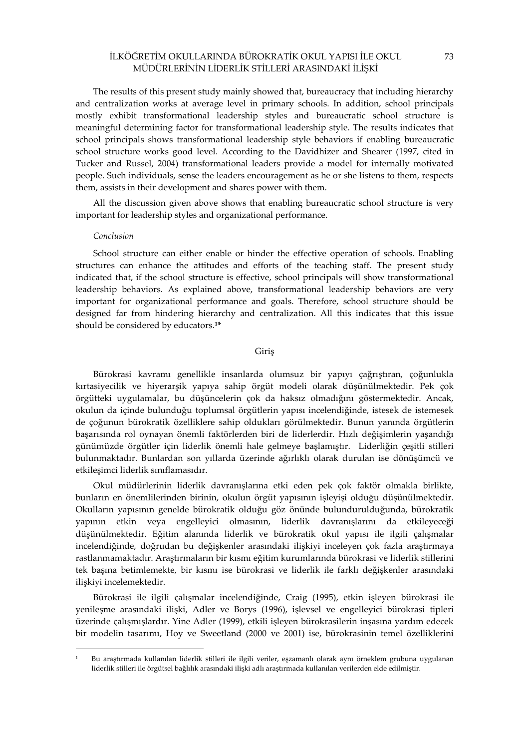The results of this present study mainly showed that, bureaucracy that including hierarchy and centralization works at average level in primary schools. In addition, school principals mostly exhibit transformational leadership styles and bureaucratic school structure is meaningful determining factor for transformational leadership style. The results indicates that school principals shows transformational leadership style behaviors if enabling bureaucratic school structure works good level. According to the Davidhizer and Shearer (1997, cited in Tucker and Russel, 2004) transformational leaders provide a model for internally motivated people. Such individuals, sense the leaders encouragement as he or she listens to them, respects them, assists in their development and shares power with them.

All the discussion given above shows that enabling bureaucratic school structure is very important for leadership styles and organizational performance.

#### Conclusion

 $\overline{a}$ 

School structure can either enable or hinder the effective operation of schools. Enabling structures can enhance the attitudes and efforts of the teaching staff. The present study indicated that, if the school structure is effective, school principals will show transformational leadership behaviors. As explained above, transformational leadership behaviors are very important for organizational performance and goals. Therefore, school structure should be designed far from hindering hierarchy and centralization. All this indicates that this issue should be considered by educators.<sup>1\*</sup>

### Giriş

Bürokrasi kavramı genellikle insanlarda olumsuz bir yapıyı çağrıştıran, çoğunlukla kırtasiyecilik ve hiyerarşik yapıya sahip örgüt modeli olarak düşünülmektedir. Pek çok örgütteki uygulamalar, bu düşüncelerin çok da haksız olmadığını göstermektedir. Ancak, okulun da içinde bulunduğu toplumsal örgütlerin yapısı incelendiğinde, istesek de istemesek de çoğunun bürokratik özelliklere sahip oldukları görülmektedir. Bunun yanında örgütlerin başarısında rol oynayan önemli faktörlerden biri de liderlerdir. Hızlı değişimlerin yaşandığı günümüzde örgütler için liderlik önemli hale gelmeye başlamıştır. Liderliğin çeşitli stilleri bulunmaktadır. Bunlardan son yıllarda üzerinde ağırlıklı olarak durulan ise dönüşümcü ve etkileşimci liderlik sınıflamasıdır.

Okul müdürlerinin liderlik davranışlarına etki eden pek çok faktör olmakla birlikte, bunların en önemlilerinden birinin, okulun örgüt yapısının işleyişi olduğu düşünülmektedir. Okulların yapısının genelde bürokratik olduğu göz önünde bulundurulduğunda, bürokratik yapının etkin veya engelleyici olmasının, liderlik davranışlarını da etkileyeceği düşünülmektedir. Eğitim alanında liderlik ve bürokratik okul yapısı ile ilgili çalışmalar incelendiğinde, doğrudan bu değişkenler arasındaki ilişkiyi inceleyen çok fazla araştırmaya rastlanmamaktadır. Araştırmaların bir kısmı eğitim kurumlarında bürokrasi ve liderlik stillerini tek başına betimlemekte, bir kısmı ise bürokrasi ve liderlik ile farklı değişkenler arasındaki ilişkiyi incelemektedir.

Bürokrasi ile ilgili çalışmalar incelendiğinde, Craig (1995), etkin işleyen bürokrasi ile yenileşme arasındaki ilişki, Adler ve Borys (1996), işlevsel ve engelleyici bürokrasi tipleri üzerinde çalışmışlardır. Yine Adler (1999), etkili işleyen bürokrasilerin inşasına yardım edecek bir modelin tasarımı, Hoy ve Sweetland (2000 ve 2001) ise, bürokrasinin temel özelliklerini

<sup>1</sup> Bu araştırmada kullanılan liderlik stilleri ile ilgili veriler, eşzamanlı olarak aynı örneklem grubuna uygulanan liderlik stilleri ile örgütsel bağlılık arasındaki ilişki adlı araştırmada kullanılan verilerden elde edilmiştir.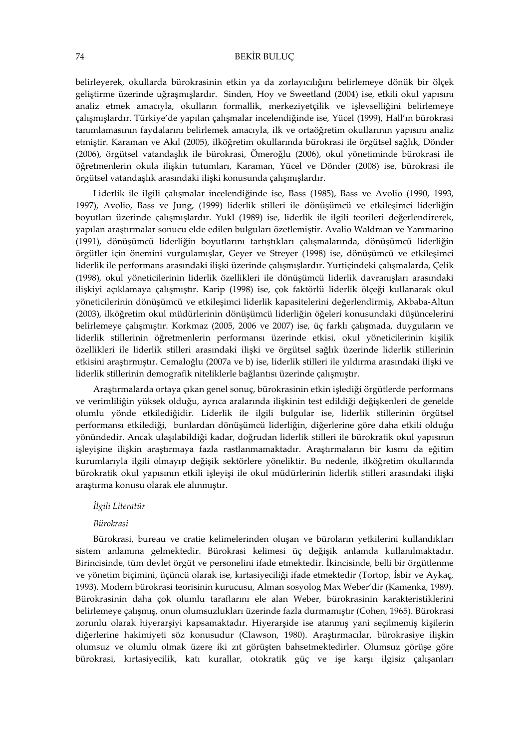belirleyerek, okullarda bürokrasinin etkin ya da zorlayıcılığını belirlemeye dönük bir ölçek geliştirme üzerinde uğraşmışlardır. Sinden, Hoy ve Sweetland (2004) ise, etkili okul yapısını analiz etmek amacıyla, okulların formallik, merkeziyetçilik ve işlevselliğini belirlemeye çalışmışlardır. Türkiye'de yapılan çalışmalar incelendiğinde ise, Yücel (1999), Hall'ın bürokrasi tanımlamasının faydalarını belirlemek amacıyla, ilk ve ortaöğretim okullarının yapısını analiz etmiştir. Karaman ve Akıl (2005), ilköğretim okullarında bürokrasi ile örgütsel sağlık, Dönder (2006), örgütsel vatandaşlık ile bürokrasi, Ömeroğlu (2006), okul yönetiminde bürokrasi ile öğretmenlerin okula ilişkin tutumları, Karaman, Yücel ve Dönder (2008) ise, bürokrasi ile örgütsel vatandaşlık arasındaki ilişki konusunda çalışmışlardır.

Liderlik ile ilgili çalışmalar incelendiğinde ise, Bass (1985), Bass ve Avolio (1990, 1993, 1997), Avolio, Bass ve Jung, (1999) liderlik stilleri ile dönüşümcü ve etkileşimci liderliğin boyutları üzerinde çalışmışlardır. Yukl (1989) ise, liderlik ile ilgili teorileri değerlendirerek, yapılan araştırmalar sonucu elde edilen bulguları özetlemiştir. Avalio Waldman ve Yammarino (1991), dönüşümcü liderliğin boyutlarını tartıştıkları çalışmalarında, dönüşümcü liderliğin örgütler için önemini vurgulamışlar, Geyer ve Streyer (1998) ise, dönüşümcü ve etkileşimci liderlik ile performans arasındaki ilişki üzerinde çalışmışlardır. Yurtiçindeki çalışmalarda, Çelik (1998), okul yöneticilerinin liderlik özellikleri ile dönüşümcü liderlik davranışları arasındaki ilişkiyi açıklamaya çalışmıştır. Karip (1998) ise, çok faktörlü liderlik ölçeği kullanarak okul yöneticilerinin dönüşümcü ve etkileşimci liderlik kapasitelerini değerlendirmiş, Akbaba-Altun (2003), ilköğretim okul müdürlerinin dönüşümcü liderliğin öğeleri konusundaki düşüncelerini belirlemeye çalışmıştır. Korkmaz (2005, 2006 ve 2007) ise, üç farklı çalışmada, duyguların ve liderlik stillerinin öğretmenlerin performansı üzerinde etkisi, okul yöneticilerinin kişilik özellikleri ile liderlik stilleri arasındaki ilişki ve örgütsel sağlık üzerinde liderlik stillerinin etkisini araştırmıştır. Cemaloğlu (2007a ve b) ise, liderlik stilleri ile yıldırma arasındaki ilişki ve liderlik stillerinin demografik niteliklerle bağlantısı üzerinde çalışmıştır.

Araştırmalarda ortaya çıkan genel sonuç, bürokrasinin etkin işlediği örgütlerde performans ve verimliliğin yüksek olduğu, ayrıca aralarında ilişkinin test edildiği değişkenleri de genelde olumlu yönde etkilediğidir. Liderlik ile ilgili bulgular ise, liderlik stillerinin örgütsel performansı etkilediği, bunlardan dönüşümcü liderliğin, diğerlerine göre daha etkili olduğu yönündedir. Ancak ulaşılabildiği kadar, doğrudan liderlik stilleri ile bürokratik okul yapısının işleyişine ilişkin araştırmaya fazla rastlanmamaktadır. Araştırmaların bir kısmı da eğitim kurumlarıyla ilgili olmayıp değişik sektörlere yöneliktir. Bu nedenle, ilköğretim okullarında bürokratik okul yapısının etkili işleyişi ile okul müdürlerinin liderlik stilleri arasındaki ilişki araştırma konusu olarak ele alınmıştır.

### İlgili Literatür

#### Bürokrasi

Bürokrasi, bureau ve cratie kelimelerinden oluşan ve büroların yetkilerini kullandıkları sistem anlamına gelmektedir. Bürokrasi kelimesi üç değişik anlamda kullanılmaktadır. Birincisinde, tüm devlet örgüt ve personelini ifade etmektedir. İkincisinde, belli bir örgütlenme ve yönetim biçimini, üçüncü olarak ise, kırtasiyeciliği ifade etmektedir (Tortop, İsbir ve Aykaç, 1993). Modern bürokrasi teorisinin kurucusu, Alman sosyolog Max Weber'dir (Kamenka, 1989). Bürokrasinin daha çok olumlu taraflarını ele alan Weber, bürokrasinin karakteristiklerini belirlemeye çalışmış, onun olumsuzlukları üzerinde fazla durmamıştır (Cohen, 1965). Bürokrasi zorunlu olarak hiyerarşiyi kapsamaktadır. Hiyerarşide ise atanmış yani seçilmemiş kişilerin diğerlerine hakimiyeti söz konusudur (Clawson, 1980). Araştırmacılar, bürokrasiye ilişkin olumsuz ve olumlu olmak üzere iki zıt görüşten bahsetmektedirler. Olumsuz görüşe göre bürokrasi, kırtasiyecilik, katı kurallar, otokratik güç ve işe karşı ilgisiz çalışanları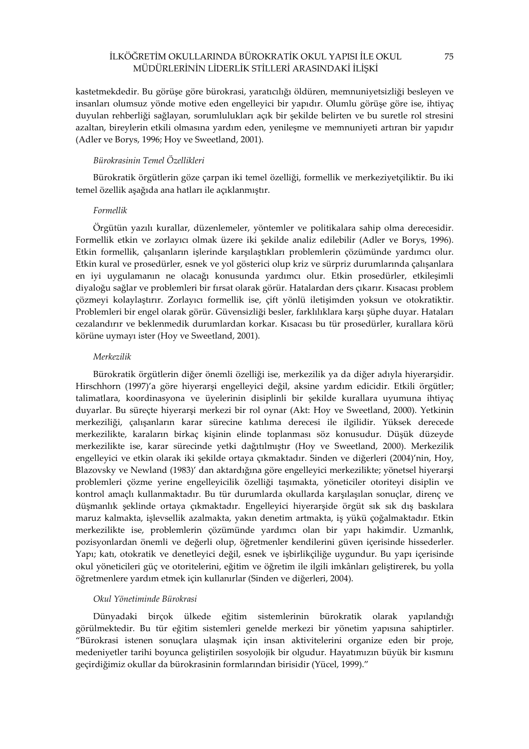kastetmekdedir. Bu görüşe göre bürokrasi, yaratıcılığı öldüren, memnuniyetsizliği besleyen ve insanları olumsuz yönde motive eden engelleyici bir yapıdır. Olumlu görüşe göre ise, ihtiyaç duyulan rehberliği sağlayan, sorumlulukları açık bir şekilde belirten ve bu suretle rol stresini azaltan, bireylerin etkili olmasına yardım eden, yenileşme ve memnuniyeti artıran bir yapıdır (Adler ve Borys, 1996; Hoy ve Sweetland, 2001).

## Bürokrasinin Temel Özellikleri

Bürokratik örgütlerin göze çarpan iki temel özelliği, formellik ve merkeziyetçiliktir. Bu iki temel özellik aşağıda ana hatları ile açıklanmıştır.

## Formellik

Örgütün yazılı kurallar, düzenlemeler, yöntemler ve politikalara sahip olma derecesidir. Formellik etkin ve zorlayıcı olmak üzere iki şekilde analiz edilebilir (Adler ve Borys, 1996). Etkin formellik, çalışanların işlerinde karşılaştıkları problemlerin çözümünde yardımcı olur. Etkin kural ve prosedürler, esnek ve yol gösterici olup kriz ve sürpriz durumlarında çalışanlara en iyi uygulamanın ne olacağı konusunda yardımcı olur. Etkin prosedürler, etkileşimli diyaloğu sağlar ve problemleri bir fırsat olarak görür. Hatalardan ders çıkarır. Kısacası problem çözmeyi kolaylaştırır. Zorlayıcı formellik ise, çift yönlü iletişimden yoksun ve otokratiktir. Problemleri bir engel olarak görür. Güvensizliği besler, farklılıklara karşı şüphe duyar. Hataları cezalandırır ve beklenmedik durumlardan korkar. Kısacası bu tür prosedürler, kurallara körü körüne uymayı ister (Hoy ve Sweetland, 2001).

### Merkezilik

Bürokratik örgütlerin diğer önemli özelliği ise, merkezilik ya da diğer adıyla hiyerarşidir. Hirschhorn (1997)'a göre hiyerarşi engelleyici değil, aksine yardım edicidir. Etkili örgütler; talimatlara, koordinasyona ve üyelerinin disiplinli bir şekilde kurallara uyumuna ihtiyaç duyarlar. Bu süreçte hiyerarşi merkezi bir rol oynar (Akt: Hoy ve Sweetland, 2000). Yetkinin merkeziliği, çalışanların karar sürecine katılıma derecesi ile ilgilidir. Yüksek derecede merkezilikte, karaların birkaç kişinin elinde toplanması söz konusudur. Düşük düzeyde merkezilikte ise, karar sürecinde yetki dağıtılmıştır (Hoy ve Sweetland, 2000). Merkezilik engelleyici ve etkin olarak iki şekilde ortaya çıkmaktadır. Sinden ve diğerleri (2004)'nin, Hoy, Blazovsky ve Newland (1983)' dan aktardığına göre engelleyici merkezilikte; yönetsel hiyerarşi problemleri çözme yerine engelleyicilik özelliği taşımakta, yöneticiler otoriteyi disiplin ve kontrol amaçlı kullanmaktadır. Bu tür durumlarda okullarda karşılaşılan sonuçlar, direnç ve düşmanlık şeklinde ortaya çıkmaktadır. Engelleyici hiyerarşide örgüt sık sık dış baskılara maruz kalmakta, işlevsellik azalmakta, yakın denetim artmakta, iş yükü çoğalmaktadır. Etkin merkezilikte ise, problemlerin çözümünde yardımcı olan bir yapı hakimdir. Uzmanlık, pozisyonlardan önemli ve değerli olup, öğretmenler kendilerini güven içerisinde hissederler. Yapı; katı, otokratik ve denetleyici değil, esnek ve işbirlikçiliğe uygundur. Bu yapı içerisinde okul yöneticileri güç ve otoritelerini, eğitim ve öğretim ile ilgili imkânları geliştirerek, bu yolla öğretmenlere yardım etmek için kullanırlar (Sinden ve diğerleri, 2004).

### Okul Yönetiminde Bürokrasi

Dünyadaki birçok ülkede eğitim sistemlerinin bürokratik olarak yapılandığı görülmektedir. Bu tür eğitim sistemleri genelde merkezi bir yönetim yapısına sahiptirler. "Bürokrasi istenen sonuçlara ulaşmak için insan aktivitelerini organize eden bir proje, medeniyetler tarihi boyunca geliştirilen sosyolojik bir olgudur. Hayatımızın büyük bir kısmını geçirdiğimiz okullar da bürokrasinin formlarından birisidir (Yücel, 1999)."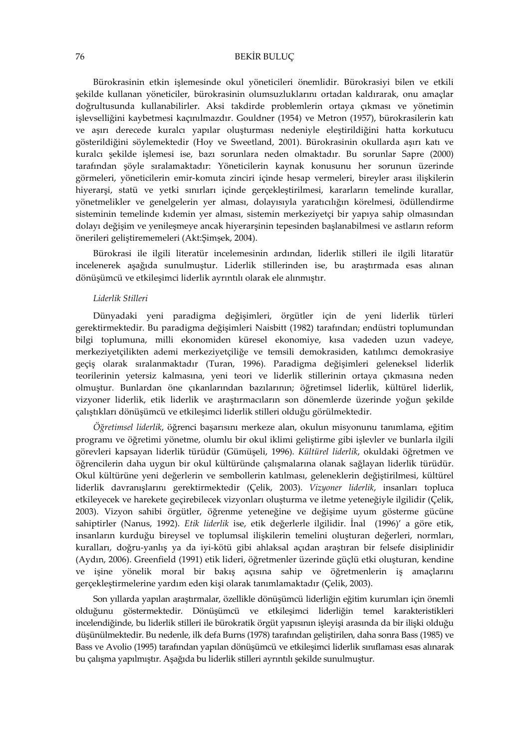Bürokrasinin etkin işlemesinde okul yöneticileri önemlidir. Bürokrasiyi bilen ve etkili şekilde kullanan yöneticiler, bürokrasinin olumsuzluklarını ortadan kaldırarak, onu amaçlar doğrultusunda kullanabilirler. Aksi takdirde problemlerin ortaya çıkması ve yönetimin işlevselliğini kaybetmesi kaçınılmazdır. Gouldner (1954) ve Metron (1957), bürokrasilerin katı ve aşırı derecede kuralcı yapılar oluşturması nedeniyle eleştirildiğini hatta korkutucu gösterildiğini söylemektedir (Hoy ve Sweetland, 2001). Bürokrasinin okullarda aşırı katı ve kuralcı şekilde işlemesi ise, bazı sorunlara neden olmaktadır. Bu sorunlar Sapre (2000) tarafından şöyle sıralamaktadır: Yöneticilerin kaynak konusunu her sorunun üzerinde görmeleri, yöneticilerin emir-komuta zinciri içinde hesap vermeleri, bireyler arası ilişkilerin hiyerarşi, statü ve yetki sınırları içinde gerçekleştirilmesi, kararların temelinde kurallar, yönetmelikler ve genelgelerin yer alması, dolayısıyla yaratıcılığın körelmesi, ödüllendirme sisteminin temelinde kıdemin yer alması, sistemin merkeziyetçi bir yapıya sahip olmasından dolayı değişim ve yenileşmeye ancak hiyerarşinin tepesinden başlanabilmesi ve astların reform önerileri geliştirememeleri (Akt:Şimşek, 2004).

Bürokrasi ile ilgili literatür incelemesinin ardından, liderlik stilleri ile ilgili litaratür incelenerek aşağıda sunulmuştur. Liderlik stillerinden ise, bu araştırmada esas alınan dönüşümcü ve etkileşimci liderlik ayrıntılı olarak ele alınmıştır.

#### Liderlik Stilleri

Dünyadaki yeni paradigma değişimleri, örgütler için de yeni liderlik türleri gerektirmektedir. Bu paradigma değişimleri Naisbitt (1982) tarafından; endüstri toplumundan bilgi toplumuna, milli ekonomiden küresel ekonomiye, kısa vadeden uzun vadeye, merkeziyetçilikten ademi merkeziyetçiliğe ve temsili demokrasiden, katılımcı demokrasiye geçiş olarak sıralanmaktadır (Turan, 1996). Paradigma değişimleri geleneksel liderlik teorilerinin yetersiz kalmasına, yeni teori ve liderlik stillerinin ortaya çıkmasına neden olmuştur. Bunlardan öne çıkanlarından bazılarının; öğretimsel liderlik, kültürel liderlik, vizyoner liderlik, etik liderlik ve araştırmacıların son dönemlerde üzerinde yoğun şekilde çalıştıkları dönüşümcü ve etkileşimci liderlik stilleri olduğu görülmektedir.

Öğretimsel liderlik, öğrenci başarısını merkeze alan, okulun misyonunu tanımlama, eğitim programı ve öğretimi yönetme, olumlu bir okul iklimi geliştirme gibi işlevler ve bunlarla ilgili görevleri kapsayan liderlik türüdür (Gümüşeli, 1996). Kültürel liderlik, okuldaki öğretmen ve öğrencilerin daha uygun bir okul kültüründe çalışmalarına olanak sağlayan liderlik türüdür. Okul kültürüne yeni değerlerin ve sembollerin katılması, geleneklerin değiştirilmesi, kültürel liderlik davranışlarını gerektirmektedir (Çelik, 2003). Vizyoner liderlik, insanları topluca etkileyecek ve harekete geçirebilecek vizyonları oluşturma ve iletme yeteneğiyle ilgilidir (Çelik, 2003). Vizyon sahibi örgütler, öğrenme yeteneğine ve değişime uyum gösterme gücüne sahiptirler (Nanus, 1992). Etik liderlik ise, etik değerlerle ilgilidir. İnal (1996)' a göre etik, insanların kurduğu bireysel ve toplumsal ilişkilerin temelini oluşturan değerleri, normları, kuralları, doğru-yanlış ya da iyi-kötü gibi ahlaksal açıdan araştıran bir felsefe disiplinidir (Aydın, 2006). Greenfield (1991) etik lideri, öğretmenler üzerinde güçlü etki oluşturan, kendine ve işine yönelik moral bir bakış açısına sahip ve öğretmenlerin iş amaçlarını gerçekleştirmelerine yardım eden kişi olarak tanımlamaktadır (Çelik, 2003).

Son yıllarda yapılan araştırmalar, özellikle dönüşümcü liderliğin eğitim kurumları için önemli olduğunu göstermektedir. Dönüşümcü ve etkileşimci liderliğin temel karakteristikleri incelendiğinde, bu liderlik stilleri ile bürokratik örgüt yapısının işleyişi arasında da bir ilişki olduğu düşünülmektedir. Bu nedenle, ilk defa Burns (1978) tarafından geliştirilen, daha sonra Bass (1985) ve Bass ve Avolio (1995) tarafından yapılan dönüşümcü ve etkileşimci liderlik sınıflaması esas alınarak bu çalışma yapılmıştır. Aşağıda bu liderlik stilleri ayrıntılı şekilde sunulmuştur.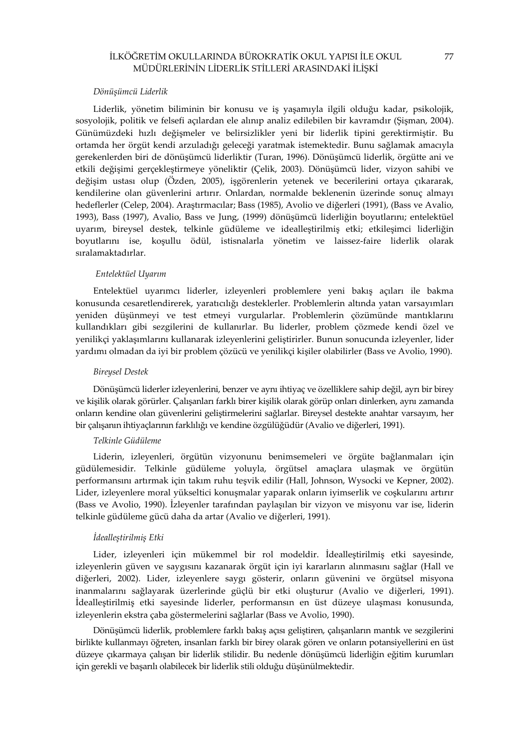### Dönüşümcü Liderlik

Liderlik, yönetim biliminin bir konusu ve iş yaşamıyla ilgili olduğu kadar, psikolojik, sosyolojik, politik ve felsefi açılardan ele alınıp analiz edilebilen bir kavramdır (Şişman, 2004). Günümüzdeki hızlı değişmeler ve belirsizlikler yeni bir liderlik tipini gerektirmiştir. Bu ortamda her örgüt kendi arzuladığı geleceği yaratmak istemektedir. Bunu sağlamak amacıyla gerekenlerden biri de dönüşümcü liderliktir (Turan, 1996). Dönüşümcü liderlik, örgütte ani ve etkili değişimi gerçekleştirmeye yöneliktir (Çelik, 2003). Dönüşümcü lider, vizyon sahibi ve değişim ustası olup (Özden, 2005), işgörenlerin yetenek ve becerilerini ortaya çıkararak, kendilerine olan güvenlerini artırır. Onlardan, normalde beklenenin üzerinde sonuç almayı hedeflerler (Celep, 2004). Araştırmacılar; Bass (1985), Avolio ve diğerleri (1991), (Bass ve Avalio, 1993), Bass (1997), Avalio, Bass ve Jung, (1999) dönüşümcü liderliğin boyutlarını; entelektüel uyarım, bireysel destek, telkinle güdüleme ve idealleştirilmiş etki; etkileşimci liderliğin boyutlarını ise, koşullu ödül, istisnalarla yönetim ve laissez-faire liderlik olarak sıralamaktadırlar.

#### Entelektüel Uyarım

Entelektüel uyarımcı liderler, izleyenleri problemlere yeni bakış açıları ile bakma konusunda cesaretlendirerek, yaratıcılığı desteklerler. Problemlerin altında yatan varsayımları yeniden düşünmeyi ve test etmeyi vurgularlar. Problemlerin çözümünde mantıklarını kullandıkları gibi sezgilerini de kullanırlar. Bu liderler, problem çözmede kendi özel ve yenilikçi yaklaşımlarını kullanarak izleyenlerini geliştirirler. Bunun sonucunda izleyenler, lider yardımı olmadan da iyi bir problem çözücü ve yenilikçi kişiler olabilirler (Bass ve Avolio, 1990).

#### Bireysel Destek

Dönüşümcü liderler izleyenlerini, benzer ve aynı ihtiyaç ve özelliklere sahip değil, ayrı bir birey ve kişilik olarak görürler. Çalışanları farklı birer kişilik olarak görüp onları dinlerken, aynı zamanda onların kendine olan güvenlerini geliştirmelerini sağlarlar. Bireysel destekte anahtar varsayım, her bir çalışanın ihtiyaçlarının farklılığı ve kendine özgülüğüdür (Avalio ve diğerleri, 1991).

## Telkinle Güdüleme

Liderin, izleyenleri, örgütün vizyonunu benimsemeleri ve örgüte bağlanmaları için güdülemesidir. Telkinle güdüleme yoluyla, örgütsel amaçlara ulaşmak ve örgütün performansını artırmak için takım ruhu teşvik edilir (Hall, Johnson, Wysocki ve Kepner, 2002). Lider, izleyenlere moral yükseltici konuşmalar yaparak onların iyimserlik ve coşkularını artırır (Bass ve Avolio, 1990). İzleyenler tarafından paylaşılan bir vizyon ve misyonu var ise, liderin telkinle güdüleme gücü daha da artar (Avalio ve diğerleri, 1991).

### İdealleştirilmiş Etki

Lider, izleyenleri için mükemmel bir rol modeldir. İdealleştirilmiş etki sayesinde, izleyenlerin güven ve saygısını kazanarak örgüt için iyi kararların alınmasını sağlar (Hall ve diğerleri, 2002). Lider, izleyenlere saygı gösterir, onların güvenini ve örgütsel misyona inanmalarını sağlayarak üzerlerinde güçlü bir etki oluşturur (Avalio ve diğerleri, 1991). İdealleştirilmiş etki sayesinde liderler, performansın en üst düzeye ulaşması konusunda, izleyenlerin ekstra çaba göstermelerini sağlarlar (Bass ve Avolio, 1990).

Dönüşümcü liderlik, problemlere farklı bakış açısı geliştiren, çalışanların mantık ve sezgilerini birlikte kullanmayı öğreten, insanları farklı bir birey olarak gören ve onların potansiyellerini en üst düzeye çıkarmaya çalışan bir liderlik stilidir. Bu nedenle dönüşümcü liderliğin eğitim kurumları için gerekli ve başarılı olabilecek bir liderlik stili olduğu düşünülmektedir.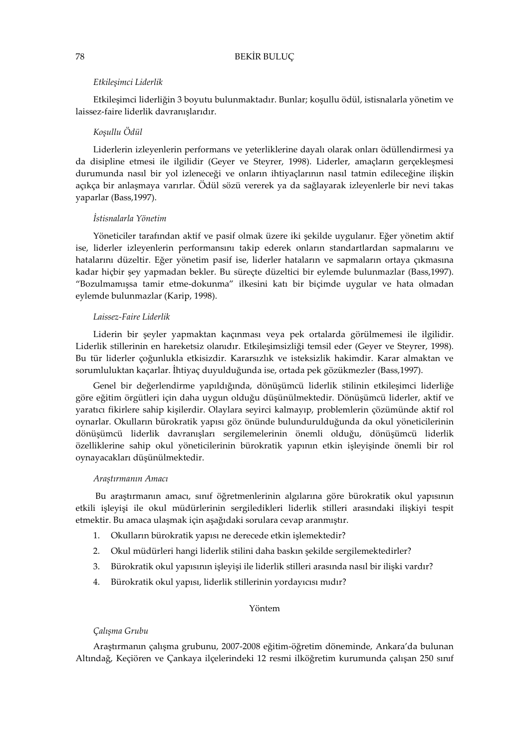#### Etkileşimci Liderlik

Etkileşimci liderliğin 3 boyutu bulunmaktadır. Bunlar; koşullu ödül, istisnalarla yönetim ve laissez-faire liderlik davranışlarıdır.

### Koşullu Ödül

Liderlerin izleyenlerin performans ve yeterliklerine dayalı olarak onları ödüllendirmesi ya da disipline etmesi ile ilgilidir (Geyer ve Steyrer, 1998). Liderler, amaçların gerçekleşmesi durumunda nasıl bir yol izleneceği ve onların ihtiyaçlarının nasıl tatmin edileceğine ilişkin açıkça bir anlaşmaya varırlar. Ödül sözü vererek ya da sağlayarak izleyenlerle bir nevi takas yaparlar (Bass,1997).

### İstisnalarla Yönetim

Yöneticiler tarafından aktif ve pasif olmak üzere iki şekilde uygulanır. Eğer yönetim aktif ise, liderler izleyenlerin performansını takip ederek onların standartlardan sapmalarını ve hatalarını düzeltir. Eğer yönetim pasif ise, liderler hataların ve sapmaların ortaya çıkmasına kadar hiçbir şey yapmadan bekler. Bu süreçte düzeltici bir eylemde bulunmazlar (Bass,1997). "Bozulmamışsa tamir etme-dokunma" ilkesini katı bir biçimde uygular ve hata olmadan eylemde bulunmazlar (Karip, 1998).

### Laissez-Faire Liderlik

Liderin bir şeyler yapmaktan kaçınması veya pek ortalarda görülmemesi ile ilgilidir. Liderlik stillerinin en hareketsiz olanıdır. Etkileşimsizliği temsil eder (Geyer ve Steyrer, 1998). Bu tür liderler çoğunlukla etkisizdir. Kararsızlık ve isteksizlik hakimdir. Karar almaktan ve sorumluluktan kaçarlar. İhtiyaç duyulduğunda ise, ortada pek gözükmezler (Bass,1997).

Genel bir değerlendirme yapıldığında, dönüşümcü liderlik stilinin etkileşimci liderliğe göre eğitim örgütleri için daha uygun olduğu düşünülmektedir. Dönüşümcü liderler, aktif ve yaratıcı fikirlere sahip kişilerdir. Olaylara seyirci kalmayıp, problemlerin çözümünde aktif rol oynarlar. Okulların bürokratik yapısı göz önünde bulundurulduğunda da okul yöneticilerinin dönüşümcü liderlik davranışları sergilemelerinin önemli olduğu, dönüşümcü liderlik özelliklerine sahip okul yöneticilerinin bürokratik yapının etkin işleyişinde önemli bir rol oynayacakları düşünülmektedir.

#### Araştırmanın Amacı

Bu araştırmanın amacı, sınıf öğretmenlerinin algılarına göre bürokratik okul yapısının etkili işleyişi ile okul müdürlerinin sergiledikleri liderlik stilleri arasındaki ilişkiyi tespit etmektir. Bu amaca ulaşmak için aşağıdaki sorulara cevap aranmıştır.

- 1. Okulların bürokratik yapısı ne derecede etkin işlemektedir?
- 2. Okul müdürleri hangi liderlik stilini daha baskın şekilde sergilemektedirler?
- 3. Bürokratik okul yapısının işleyişi ile liderlik stilleri arasında nasıl bir ilişki vardır?
- 4. Bürokratik okul yapısı, liderlik stillerinin yordayıcısı mıdır?

#### Yöntem

#### Çalışma Grubu

Araştırmanın çalışma grubunu, 2007-2008 eğitim-öğretim döneminde, Ankara'da bulunan Altındağ, Keçiören ve Çankaya ilçelerindeki 12 resmi ilköğretim kurumunda çalışan 250 sınıf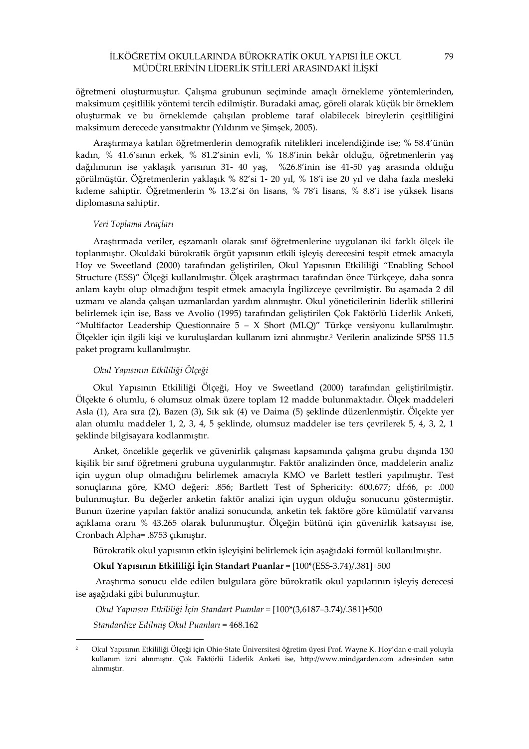öğretmeni oluşturmuştur. Çalışma grubunun seçiminde amaçlı örnekleme yöntemlerinden, maksimum çeşitlilik yöntemi tercih edilmiştir. Buradaki amaç, göreli olarak küçük bir örneklem oluşturmak ve bu örneklemde çalışılan probleme taraf olabilecek bireylerin çeşitliliğini maksimum derecede yansıtmaktır (Yıldırım ve Şimşek, 2005).

Araştırmaya katılan öğretmenlerin demografik nitelikleri incelendiğinde ise; % 58.4'ünün kadın, % 41.6'sının erkek, % 81.2'sinin evli, % 18.8'inin bekâr olduğu, öğretmenlerin yaş dağılımının ise yaklaşık yarısının 31- 40 yaş, %26.8'inin ise 41-50 yaş arasında olduğu görülmüştür. Öğretmenlerin yaklaşık % 82'si 1- 20 yıl, % 18'i ise 20 yıl ve daha fazla mesleki kıdeme sahiptir. Öğretmenlerin % 13.2'si ön lisans, % 78'i lisans, % 8.8'i ise yüksek lisans diplomasına sahiptir.

#### Veri Toplama Araçları

Araştırmada veriler, eşzamanlı olarak sınıf öğretmenlerine uygulanan iki farklı ölçek ile toplanmıştır. Okuldaki bürokratik örgüt yapısının etkili işleyiş derecesini tespit etmek amacıyla Hoy ve Sweetland (2000) tarafından geliştirilen, Okul Yapısının Etkililiği "Enabling School Structure (ESS)" Ölçeği kullanılmıştır. Ölçek araştırmacı tarafından önce Türkçeye, daha sonra anlam kaybı olup olmadığını tespit etmek amacıyla İngilizceye çevrilmiştir. Bu aşamada 2 dil uzmanı ve alanda çalışan uzmanlardan yardım alınmıştır. Okul yöneticilerinin liderlik stillerini belirlemek için ise, Bass ve Avolio (1995) tarafından geliştirilen Çok Faktörlü Liderlik Anketi, "Multifactor Leadership Questionnaire  $5 - X$  Short (MLQ)" Türkçe versiyonu kullanılmıştır. Ölçekler için ilgili kişi ve kuruluşlardan kullanım izni alınmıştır.<sup>2</sup> Verilerin analizinde SPSS 11.5 paket programı kullanılmıştır.

### Okul Yapısının Etkililiği Ölçeği

 $\overline{a}$ 

Okul Yapısının Etkililiği Ölçeği, Hoy ve Sweetland (2000) tarafından geliştirilmiştir. Ölçekte 6 olumlu, 6 olumsuz olmak üzere toplam 12 madde bulunmaktadır. Ölçek maddeleri Asla (1), Ara sıra (2), Bazen (3), Sık sık (4) ve Daima (5) şeklinde düzenlenmiştir. Ölçekte yer alan olumlu maddeler 1, 2, 3, 4, 5 şeklinde, olumsuz maddeler ise ters çevrilerek 5, 4, 3, 2, 1 şeklinde bilgisayara kodlanmıştır.

Anket, öncelikle geçerlik ve güvenirlik çalışması kapsamında çalışma grubu dışında 130 kişilik bir sınıf öğretmeni grubuna uygulanmıştır. Faktör analizinden önce, maddelerin analiz için uygun olup olmadığını belirlemek amacıyla KMO ve Barlett testleri yapılmıştır. Test sonuçlarına göre, KMO değeri: .856; Bartlett Test of Sphericity: 600,677; df:66, p: .000 bulunmuştur. Bu değerler anketin faktör analizi için uygun olduğu sonucunu göstermiştir. Bunun üzerine yapılan faktör analizi sonucunda, anketin tek faktöre göre kümülatif varvansı açıklama oranı % 43.265 olarak bulunmuştur. Ölçeğin bütünü için güvenirlik katsayısı ise, Cronbach Alpha= .8753 çıkmıştır.

Bürokratik okul yapısının etkin işleyişini belirlemek için aşağıdaki formül kullanılmıştır.

### Okul Yapısının Etkililiği İçin Standart Puanlar = [100\*(ESS-3.74)/.381]+500

Araştırma sonucu elde edilen bulgulara göre bürokratik okul yapılarının işleyiş derecesi ise aşağıdaki gibi bulunmuştur.

 Okul Yapınsın Etkililiği İçin Standart Puanlar = [100\*(3,6187–3.74)/.381]+500 Standardize Edilmiş Okul Puanları = 468.162

<sup>2</sup> Okul Yapısının Etkililiği Ölçeği için Ohio-State Üniversitesi öğretim üyesi Prof. Wayne K. Hoy'dan e-mail yoluyla kullanım izni alınmıştır. Çok Faktörlü Liderlik Anketi ise, http://www.mindgarden.com adresinden satın alınmıştır.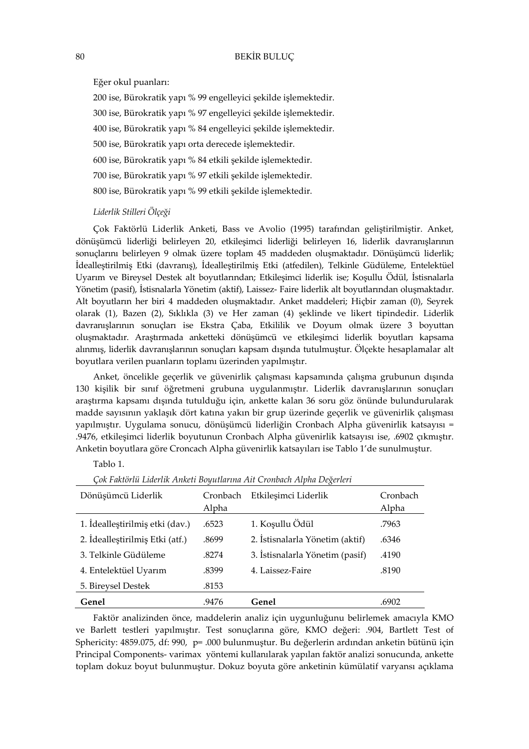Eğer okul puanları:

200 ise, Bürokratik yapı % 99 engelleyici şekilde işlemektedir. 300 ise, Bürokratik yapı % 97 engelleyici şekilde işlemektedir. 400 ise, Bürokratik yapı % 84 engelleyici şekilde işlemektedir. 500 ise, Bürokratik yapı orta derecede işlemektedir. 600 ise, Bürokratik yapı % 84 etkili şekilde işlemektedir. 700 ise, Bürokratik yapı % 97 etkili şekilde işlemektedir. 800 ise, Bürokratik yapı % 99 etkili şekilde işlemektedir.

## Liderlik Stilleri Ölçeği

Çok Faktörlü Liderlik Anketi, Bass ve Avolio (1995) tarafından geliştirilmiştir. Anket, dönüşümcü liderliği belirleyen 20, etkileşimci liderliği belirleyen 16, liderlik davranışlarının sonuçlarını belirleyen 9 olmak üzere toplam 45 maddeden oluşmaktadır. Dönüşümcü liderlik; İdealleştirilmiş Etki (davranış), İdealleştirilmiş Etki (atfedilen), Telkinle Güdüleme, Entelektüel Uyarım ve Bireysel Destek alt boyutlarından; Etkileşimci liderlik ise; Koşullu Ödül, İstisnalarla Yönetim (pasif), İstisnalarla Yönetim (aktif), Laissez- Faire liderlik alt boyutlarından oluşmaktadır. Alt boyutların her biri 4 maddeden oluşmaktadır. Anket maddeleri; Hiçbir zaman (0), Seyrek olarak (1), Bazen (2), Sıklıkla (3) ve Her zaman (4) şeklinde ve likert tipindedir. Liderlik davranışlarının sonuçları ise Ekstra Çaba, Etkililik ve Doyum olmak üzere 3 boyuttan oluşmaktadır. Araştırmada anketteki dönüşümcü ve etkileşimci liderlik boyutları kapsama alınmış, liderlik davranışlarının sonuçları kapsam dışında tutulmuştur. Ölçekte hesaplamalar alt boyutlara verilen puanların toplamı üzerinden yapılmıştır.

Anket, öncelikle geçerlik ve güvenirlik çalışması kapsamında çalışma grubunun dışında 130 kişilik bir sınıf öğretmeni grubuna uygulanmıştır. Liderlik davranışlarının sonuçları araştırma kapsamı dışında tutulduğu için, ankette kalan 36 soru göz önünde bulundurularak madde sayısının yaklaşık dört katına yakın bir grup üzerinde geçerlik ve güvenirlik çalışması yapılmıştır. Uygulama sonucu, dönüşümcü liderliğin Cronbach Alpha güvenirlik katsayısı = .9476, etkileşimci liderlik boyutunun Cronbach Alpha güvenirlik katsayısı ise, .6902 çıkmıştır. Anketin boyutlara göre Croncach Alpha güvenirlik katsayıları ise Tablo 1'de sunulmuştur.

## Tablo 1.

| Dönüşümcü Liderlik              | Cronbach<br>Alpha | Etkileşimci Liderlik            | Cronbach<br>Alpha |
|---------------------------------|-------------------|---------------------------------|-------------------|
| 1. Idealleștirilmiș etki (dav.) | .6523             | 1. Koşullu Ödül                 | .7963             |
| 2. İdealleştirilmiş Etki (atf.) | .8699             | 2. İstisnalarla Yönetim (aktif) | .6346             |
| 3. Telkinle Güdüleme            | .8274             | 3. İstisnalarla Yönetim (pasif) | .4190             |
| 4. Entelektüel Uyarım           | .8399             | 4. Laissez-Faire                | .8190             |
| 5. Bireysel Destek              | .8153             |                                 |                   |
| Genel                           | .9476             | Genel                           | .6902             |

Çok Faktörlü Liderlik Anketi Boyutlarına Ait Cronbach Alpha Değerleri

Faktör analizinden önce, maddelerin analiz için uygunluğunu belirlemek amacıyla KMO ve Barlett testleri yapılmıştır. Test sonuçlarına göre, KMO değeri: .904, Bartlett Test of Sphericity: 4859.075, df: 990, p= .000 bulunmuştur. Bu değerlerin ardından anketin bütünü için Principal Components- varimax yöntemi kullanılarak yapılan faktör analizi sonucunda, ankette toplam dokuz boyut bulunmuştur. Dokuz boyuta göre anketinin kümülatif varyansı açıklama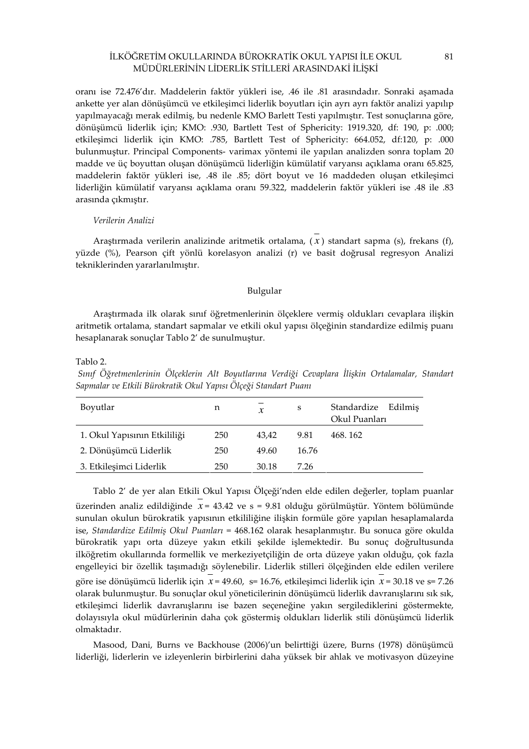oranı ise 72.476'dır. Maddelerin faktör yükleri ise, .46 ile .81 arasındadır. Sonraki aşamada ankette yer alan dönüşümcü ve etkileşimci liderlik boyutları için ayrı ayrı faktör analizi yapılıp yapılmayacağı merak edilmiş, bu nedenle KMO Barlett Testi yapılmıştır. Test sonuçlarına göre, dönüşümcü liderlik için; KMO: .930, Bartlett Test of Sphericity: 1919.320, df: 190, p: .000; etkileşimci liderlik için KMO: .785, Bartlett Test of Sphericity: 664.052, df:120, p: .000 bulunmuştur. Principal Components- varimax yöntemi ile yapılan analizden sonra toplam 20 madde ve üç boyuttan oluşan dönüşümcü liderliğin kümülatif varyansı açıklama oranı 65.825, maddelerin faktör yükleri ise, .48 ile .85; dört boyut ve 16 maddeden oluşan etkileşimci liderliğin kümülatif varyansı açıklama oranı 59.322, maddelerin faktör yükleri ise .48 ile .83 arasında çıkmıştır.

#### Verilerin Analizi

Araştırmada verilerin analizinde aritmetik ortalama, ( *x* ) standart sapma (s), frekans (f), yüzde (%), Pearson çift yönlü korelasyon analizi (r) ve basit doğrusal regresyon Analizi tekniklerinden yararlanılmıştır.

## Bulgular

Araştırmada ilk olarak sınıf öğretmenlerinin ölçeklere vermiş oldukları cevaplara ilişkin aritmetik ortalama, standart sapmalar ve etkili okul yapısı ölçeğinin standardize edilmiş puanı hesaplanarak sonuçlar Tablo 2' de sunulmuştur.

Tablo 2.

 Sınıf Öğretmenlerinin Ölçeklerin Alt Boyutlarına Verdiği Cevaplara İlişkin Ortalamalar, Standart Sapmalar ve Etkili Bürokratik Okul Yapısı Ölçeği Standart Puanı

| Boyutlar                     | n   | $\chi$ | S     | Standardize<br>Edilmis<br>Okul Puanları |
|------------------------------|-----|--------|-------|-----------------------------------------|
| 1. Okul Yapısının Etkililiği | 250 | 43.42  | 9.81  | 468.162                                 |
| 2. Dönüşümcü Liderlik        | 250 | 49.60  | 16.76 |                                         |
| 3. Etkileşimci Liderlik      | 250 | 30.18  | 7.26  |                                         |

Tablo 2' de yer alan Etkili Okul Yapısı Ölçeği'nden elde edilen değerler, toplam puanlar üzerinden analiz edildiğinde *x* = 43.42 ve s = 9.81 olduğu görülmüştür. Yöntem bölümünde sunulan okulun bürokratik yapısının etkililiğine ilişkin formüle göre yapılan hesaplamalarda ise, Standardize Edilmiş Okul Puanları = 468.162 olarak hesaplanmıştır. Bu sonuca göre okulda bürokratik yapı orta düzeye yakın etkili şekilde işlemektedir. Bu sonuç doğrultusunda ilköğretim okullarında formellik ve merkeziyetçiliğin de orta düzeye yakın olduğu, çok fazla engelleyici bir özellik taşımadığı söylenebilir. Liderlik stilleri ölçeğinden elde edilen verilere göre ise dönüşümcü liderlik için *x* = 49.60, s= 16.76, etkileşimci liderlik için *x* = 30.18 ve s= 7.26 olarak bulunmuştur. Bu sonuçlar okul yöneticilerinin dönüşümcü liderlik davranışlarını sık sık, etkileşimci liderlik davranışlarını ise bazen seçeneğine yakın sergilediklerini göstermekte, dolayısıyla okul müdürlerinin daha çok göstermiş oldukları liderlik stili dönüşümcü liderlik olmaktadır.

Masood, Dani, Burns ve Backhouse (2006)'un belirttiği üzere, Burns (1978) dönüşümcü liderliği, liderlerin ve izleyenlerin birbirlerini daha yüksek bir ahlak ve motivasyon düzeyine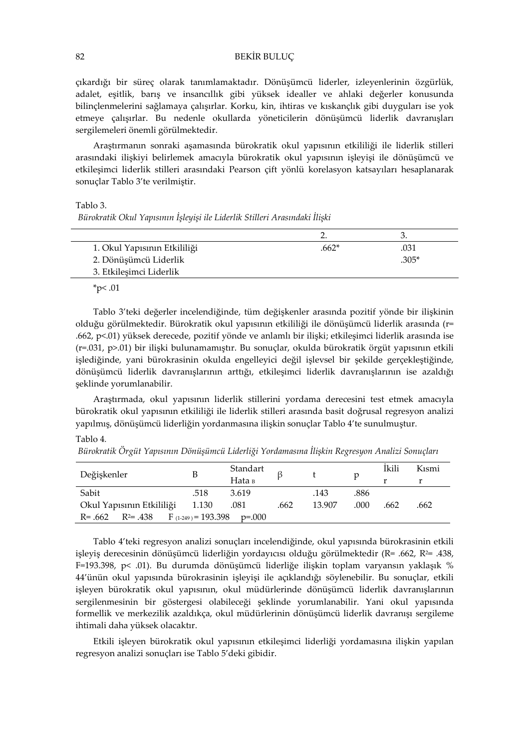çıkardığı bir süreç olarak tanımlamaktadır. Dönüşümcü liderler, izleyenlerinin özgürlük, adalet, eşitlik, barış ve insancıllık gibi yüksek idealler ve ahlaki değerler konusunda bilinçlenmelerini sağlamaya çalışırlar. Korku, kin, ihtiras ve kıskançlık gibi duyguları ise yok etmeye çalışırlar. Bu nedenle okullarda yöneticilerin dönüşümcü liderlik davranışları sergilemeleri önemli görülmektedir.

Araştırmanın sonraki aşamasında bürokratik okul yapısının etkililiği ile liderlik stilleri arasındaki ilişkiyi belirlemek amacıyla bürokratik okul yapısının işleyişi ile dönüşümcü ve etkileşimci liderlik stilleri arasındaki Pearson çift yönlü korelasyon katsayıları hesaplanarak sonuçlar Tablo 3'te verilmiştir.

Tablo 3.

Bürokratik Okul Yapısının İşleyişi ile Liderlik Stilleri Arasındaki İlişki

| 1. Okul Yapısının Etkililiği | .662* |       |
|------------------------------|-------|-------|
| 2. Dönüşümcü Liderlik        |       | .305* |
| 3. Etkilesimci Liderlik      |       |       |

 $*_{p<.01}$ 

Tablo 3'teki değerler incelendiğinde, tüm değişkenler arasında pozitif yönde bir ilişkinin olduğu görülmektedir. Bürokratik okul yapısının etkililiği ile dönüşümcü liderlik arasında (r= .662, p<.01) yüksek derecede, pozitif yönde ve anlamlı bir ilişki; etkileşimci liderlik arasında ise (r=.031, p>.01) bir ilişki bulunamamıştır. Bu sonuçlar, okulda bürokratik örgüt yapısının etkili işlediğinde, yani bürokrasinin okulda engelleyici değil işlevsel bir şekilde gerçekleştiğinde, dönüşümcü liderlik davranışlarının arttığı, etkileşimci liderlik davranışlarının ise azaldığı şeklinde yorumlanabilir.

Araştırmada, okul yapısının liderlik stillerini yordama derecesini test etmek amacıyla bürokratik okul yapısının etkililiği ile liderlik stilleri arasında basit doğrusal regresyon analizi yapılmış, dönüşümcü liderliğin yordanmasına ilişkin sonuçlar Tablo 4'te sunulmuştur.

Tablo 4.

| Değişkenler               | B                       | Standart |      |        | р    | Ikili | Kismi |
|---------------------------|-------------------------|----------|------|--------|------|-------|-------|
|                           |                         | Наta в   |      |        |      |       |       |
| Sabit                     | .518                    | 3.619    |      | .143   | .886 |       |       |
| Okul Yapısının Etkililiği | 1.130                   | .081     | .662 | 13.907 | .000 | .662  | .662  |
| $R = .662$ $R^2 = .438$   | $F_{(1-249)} = 193.398$ | p=.000   |      |        |      |       |       |

Bürokratik Örgüt Yapısının Dönüşümcü Liderliği Yordamasına İlişkin Regresyon Analizi Sonuçları

Tablo 4'teki regresyon analizi sonuçları incelendiğinde, okul yapısında bürokrasinin etkili işleyiş derecesinin dönüşümcü liderliğin yordayıcısı olduğu görülmektedir (R= .662, R2= .438, F=193.398, p< .01). Bu durumda dönüşümcü liderliğe ilişkin toplam varyansın yaklaşık % 44'ünün okul yapısında bürokrasinin işleyişi ile açıklandığı söylenebilir. Bu sonuçlar, etkili işleyen bürokratik okul yapısının, okul müdürlerinde dönüşümcü liderlik davranışlarının sergilenmesinin bir göstergesi olabileceği şeklinde yorumlanabilir. Yani okul yapısında formellik ve merkezilik azaldıkça, okul müdürlerinin dönüşümcü liderlik davranışı sergileme ihtimali daha yüksek olacaktır.

Etkili işleyen bürokratik okul yapısının etkileşimci liderliği yordamasına ilişkin yapılan regresyon analizi sonuçları ise Tablo 5'deki gibidir.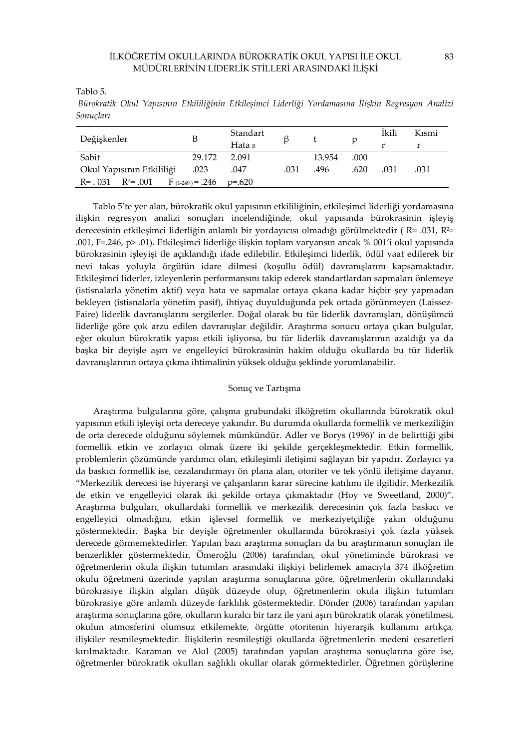Tablo 5.

 Bürokratik Okul Yapısının Etkililiğinin Etkileşimci Liderliği Yordamasına İlişkin Regresyon Analizi Sonuçları

| Değişkenler                                     | B      | Standart<br>Наta в |      |        | p    | Ikili<br>r | Kısmi |
|-------------------------------------------------|--------|--------------------|------|--------|------|------------|-------|
| Sabit                                           | 29.172 | 2.091              |      | 13.954 | .000 |            |       |
| Okul Yapısının Etkililiği                       | .023   | .047               | .031 | .496   | .620 | .031       | .031  |
| $R = 0.031$ $R^2 = 0.001$ $F_{(1-249)} = 0.246$ |        | $p=.620$           |      |        |      |            |       |

Tablo 5'te yer alan, bürokratik okul yapısının etkililiğinin, etkileşimci liderliği yordamasına ilişkin regresyon analizi sonuçları incelendiğinde, okul yapısında bürokrasinin işleyiş derecesinin etkileşimci liderliğin anlamlı bir yordayıcısı olmadığı görülmektedir ( R= .031, R2= .001, F=.246, p> .01). Etkileşimci liderliğe ilişkin toplam varyansın ancak % 001'i okul yapısında bürokrasinin işleyişi ile açıklandığı ifade edilebilir. Etkileşimci liderlik, ödül vaat edilerek bir nevi takas yoluyla örgütün idare dilmesi (koşullu ödül) davranışlarını kapsamaktadır. Etkileşimci liderler, izleyenlerin performansını takip ederek standartlardan sapmaları önlemeye (istisnalarla yönetim aktif) veya hata ve sapmalar ortaya çıkana kadar hiçbir şey yapmadan bekleyen (istisnalarla yönetim pasif), ihtiyaç duyulduğunda pek ortada görünmeyen (Laissez-Faire) liderlik davranışlarını sergilerler. Doğal olarak bu tür liderlik davranışları, dönüşümcü liderliğe göre çok arzu edilen davranışlar değildir. Araştırma sonucu ortaya çıkan bulgular, eğer okulun bürokratik yapısı etkili işliyorsa, bu tür liderlik davranışlarının azaldığı ya da başka bir deyişle aşırı ve engelleyici bürokrasinin hakim olduğu okullarda bu tür liderlik davranışlarının ortaya çıkma ihtimalinin yüksek olduğu şeklinde yorumlanabilir.

## Sonuç ve Tartışma

Araştırma bulgularına göre, çalışma grubundaki ilköğretim okullarında bürokratik okul yapısının etkili işleyişi orta dereceye yakındır. Bu durumda okullarda formellik ve merkeziliğin de orta derecede olduğunu söylemek mümkündür. Adler ve Borys (1996)' in de belirttiği gibi formellik etkin ve zorlayıcı olmak üzere iki şekilde gerçekleşmektedir. Etkin formellik, problemlerin çözümünde yardımcı olan, etkileşimli iletişimi sağlayan bir yapıdır. Zorlayıcı ya da baskıcı formellik ise, cezalandırmayı ön plana alan, otoriter ve tek yönlü iletişime dayanır. "Merkezilik derecesi ise hiyerarşi ve çalışanların karar sürecine katılımı ile ilgilidir. Merkezilik de etkin ve engelleyici olarak iki şekilde ortaya çıkmaktadır (Hoy ve Sweetland, 2000)". Araştırma bulguları, okullardaki formellik ve merkezilik derecesinin çok fazla baskıcı ve engelleyici olmadığını, etkin işlevsel formellik ve merkeziyetçiliğe yakın olduğunu göstermektedir. Başka bir deyişle öğretmenler okullarında bürokrasiyi çok fazla yüksek derecede görmemektedirler. Yapılan bazı araştırma sonuçları da bu araştırmanın sonuçları ile benzerlikler göstermektedir. Ömeroğlu (2006) tarafından, okul yönetiminde bürokrasi ve öğretmenlerin okula ilişkin tutumları arasındaki ilişkiyi belirlemek amacıyla 374 ilköğretim okulu öğretmeni üzerinde yapılan araştırma sonuçlarına göre, öğretmenlerin okullarındaki bürokrasiye ilişkin algıları düşük düzeyde olup, öğretmenlerin okula ilişkin tutumları bürokrasiye göre anlamlı düzeyde farklılık göstermektedir. Dönder (2006) tarafından yapılan araştırma sonuçlarına göre, okulların kuralcı bir tarz ile yani aşırı bürokratik olarak yönetilmesi, okulun atmosferini olumsuz etkilemekte, örgütte otoritenin hiyerarşik kullanımı artıkça, ilişkiler resmileşmektedir. İlişkilerin resmileştiği okullarda öğretmenlerin medeni cesaretleri kırılmaktadır. Karaman ve Akıl (2005) tarafından yapılan araştırma sonuçlarına göre ise, öğretmenler bürokratik okulları sağlıklı okullar olarak görmektedirler. Öğretmen görüşlerine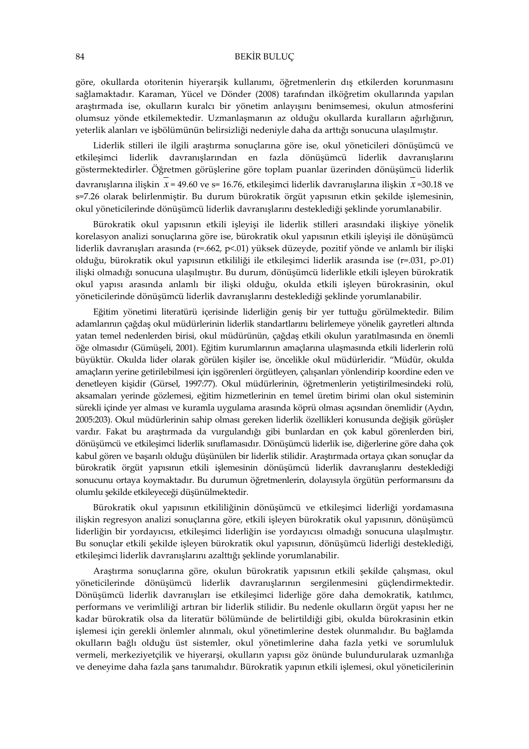göre, okullarda otoritenin hiyerarşik kullanımı, öğretmenlerin dış etkilerden korunmasını sağlamaktadır. Karaman, Yücel ve Dönder (2008) tarafından ilköğretim okullarında yapılan araştırmada ise, okulların kuralcı bir yönetim anlayışını benimsemesi, okulun atmosferini olumsuz yönde etkilemektedir. Uzmanlaşmanın az olduğu okullarda kuralların ağırlığının, yeterlik alanları ve işbölümünün belirsizliği nedeniyle daha da arttığı sonucuna ulaşılmıştır.

Liderlik stilleri ile ilgili araştırma sonuçlarına göre ise, okul yöneticileri dönüşümcü ve etkileşimci liderlik davranışlarından en fazla dönüşümcü liderlik davranışlarını göstermektedirler. Öğretmen görüşlerine göre toplam puanlar üzerinden dönüşümcü liderlik davranışlarına ilişkin *x* = 49.60 ve s= 16.76, etkileşimci liderlik davranışlarına ilişkin *x* =30.18 ve s=7.26 olarak belirlenmiştir. Bu durum bürokratik örgüt yapısının etkin şekilde işlemesinin, okul yöneticilerinde dönüşümcü liderlik davranışlarını desteklediği şeklinde yorumlanabilir.

Bürokratik okul yapısının etkili işleyişi ile liderlik stilleri arasındaki ilişkiye yönelik korelasyon analizi sonuçlarına göre ise, bürokratik okul yapısının etkili işleyişi ile dönüşümcü liderlik davranışları arasında (r=.662, p<.01) yüksek düzeyde, pozitif yönde ve anlamlı bir ilişki olduğu, bürokratik okul yapısının etkililiği ile etkileşimci liderlik arasında ise (r=.031, p>.01) ilişki olmadığı sonucuna ulaşılmıştır. Bu durum, dönüşümcü liderlikle etkili işleyen bürokratik okul yapısı arasında anlamlı bir ilişki olduğu, okulda etkili işleyen bürokrasinin, okul yöneticilerinde dönüşümcü liderlik davranışlarını desteklediği şeklinde yorumlanabilir.

Eğitim yönetimi literatürü içerisinde liderliğin geniş bir yer tuttuğu görülmektedir. Bilim adamlarının çağdaş okul müdürlerinin liderlik standartlarını belirlemeye yönelik gayretleri altında yatan temel nedenlerden birisi, okul müdürünün, çağdaş etkili okulun yaratılmasında en önemli öğe olmasıdır (Gümüşeli, 2001). Eğitim kurumlarının amaçlarına ulaşmasında etkili liderlerin rolü büyüktür. Okulda lider olarak görülen kişiler ise, öncelikle okul müdürleridir. "Müdür, okulda amaçların yerine getirilebilmesi için işgörenleri örgütleyen, çalışanları yönlendirip koordine eden ve denetleyen kişidir (Gürsel, 1997:77). Okul müdürlerinin, öğretmenlerin yetiştirilmesindeki rolü, aksamaları yerinde gözlemesi, eğitim hizmetlerinin en temel üretim birimi olan okul sisteminin sürekli içinde yer alması ve kuramla uygulama arasında köprü olması açısından önemlidir (Aydın, 2005:203). Okul müdürlerinin sahip olması gereken liderlik özellikleri konusunda değişik görüşler vardır. Fakat bu araştırmada da vurgulandığı gibi bunlardan en çok kabul görenlerden biri, dönüşümcü ve etkileşimci liderlik sınıflamasıdır. Dönüşümcü liderlik ise, diğerlerine göre daha çok kabul gören ve başarılı olduğu düşünülen bir liderlik stilidir. Araştırmada ortaya çıkan sonuçlar da bürokratik örgüt yapısının etkili işlemesinin dönüşümcü liderlik davranışlarını desteklediği sonucunu ortaya koymaktadır. Bu durumun öğretmenlerin, dolayısıyla örgütün performansını da olumlu şekilde etkileyeceği düşünülmektedir.

Bürokratik okul yapısının etkililiğinin dönüşümcü ve etkileşimci liderliği yordamasına ilişkin regresyon analizi sonuçlarına göre, etkili işleyen bürokratik okul yapısının, dönüşümcü liderliğin bir yordayıcısı, etkileşimci liderliğin ise yordayıcısı olmadığı sonucuna ulaşılmıştır. Bu sonuçlar etkili şekilde işleyen bürokratik okul yapısının, dönüşümcü liderliği desteklediği, etkileşimci liderlik davranışlarını azalttığı şeklinde yorumlanabilir.

Araştırma sonuçlarına göre, okulun bürokratik yapısının etkili şekilde çalışması, okul yöneticilerinde dönüşümcü liderlik davranışlarının sergilenmesini güçlendirmektedir. Dönüşümcü liderlik davranışları ise etkileşimci liderliğe göre daha demokratik, katılımcı, performans ve verimliliği artıran bir liderlik stilidir. Bu nedenle okulların örgüt yapısı her ne kadar bürokratik olsa da literatür bölümünde de belirtildiği gibi, okulda bürokrasinin etkin işlemesi için gerekli önlemler alınmalı, okul yönetimlerine destek olunmalıdır. Bu bağlamda okulların bağlı olduğu üst sistemler, okul yönetimlerine daha fazla yetki ve sorumluluk vermeli, merkeziyetçilik ve hiyerarşi, okulların yapısı göz önünde bulundurularak uzmanlığa ve deneyime daha fazla şans tanımalıdır. Bürokratik yapının etkili işlemesi, okul yöneticilerinin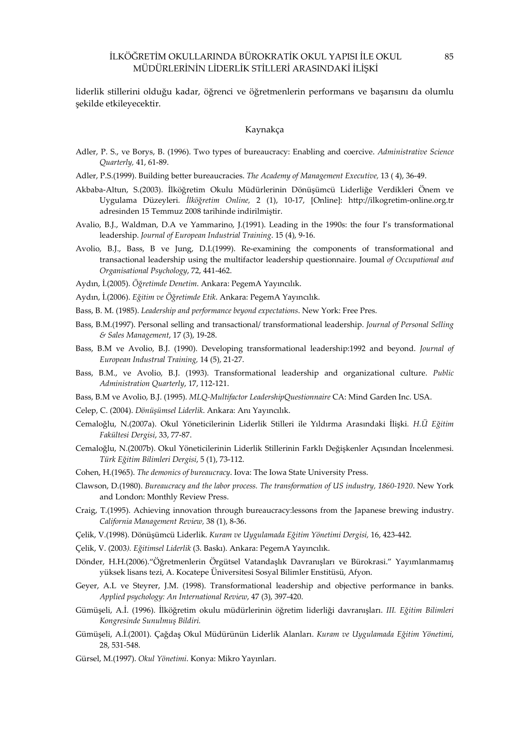liderlik stillerini olduğu kadar, öğrenci ve öğretmenlerin performans ve başarısını da olumlu şekilde etkileyecektir.

#### Kaynakça

- Adler, P. S., ve Borys, B. (1996). Two types of bureaucracy: Enabling and coercive. Administrative Science Quarterly, 41, 61-89.
- Adler, P.S.(1999). Building better bureaucracies. The Academy of Management Executive, 13 (4), 36-49.
- Akbaba-Altun, S.(2003). İlköğretim Okulu Müdürlerinin Dönüşümcü Liderliğe Verdikleri Önem ve Uygulama Düzeyleri. İlköğretim Online, 2 (1), 10-17, [Online]: http://ilkogretim-online.org.tr adresinden 15 Temmuz 2008 tarihinde indirilmiştir.
- Avalio, B.J., Waldman, D.A ve Yammarino, J.(1991). Leading in the 1990s: the four I's transformational leadership. Journal of European Industrial Training. 15 (4), 9-16.
- Avolio, B.J., Bass, B ve Jung, D.I.(1999). Re-examining the components of transformational and transactional leadership using the multifactor leadership questionnaire. Joumal of Occupational and Organisational Psychology, 72, 441-462.
- Aydın, İ.(2005). Öğretimde Denetim. Ankara: PegemA Yayıncılık.
- Aydın, İ.(2006). Eğitim ve Öğretimde Etik. Ankara: PegemA Yayıncılık.
- Bass, B. M. (1985). Leadership and performance beyond expectations. New York: Free Pres.
- Bass, B.M.(1997). Personal selling and transactional/ transformational leadership. Journal of Personal Selling & Sales Management, 17 (3), 19-28.
- Bass, B.M ve Avolio, B.J. (1990). Developing transformational leadership:1992 and beyond. Journal of European Industrıal Training, 14 (5), 21-27.
- Bass, B.M., ve Avolio, B.J. (1993). Transformational leadership and organizational culture. Public Administration Quarterly, 17, 112-121.
- Bass, B.M ve Avolio, B.J. (1995). MLQ-Multifactor LeadershipQuestionnaire CA: Mind Garden Inc. USA.
- Celep, C. (2004). Dönüşümsel Liderlik. Ankara: Anı Yayıncılık.
- Cemaloğlu, N.(2007a). Okul Yöneticilerinin Liderlik Stilleri ile Yıldırma Arasındaki İlişki. H.Ü Eğitim Fakültesi Dergisi, 33, 77-87.
- Cemaloğlu, N.(2007b). Okul Yöneticilerinin Liderlik Stillerinin Farklı Değişkenler Açısından İncelenmesi. Türk Eğitim Bilimleri Dergisi, 5 (1), 73-112.
- Cohen, H.(1965). The demonics of bureaucracy. Iova: The Iowa State University Press.
- Clawson, D.(1980). Bureaucracy and the labor process. The transformation of US industry, 1860-1920. New York and London: Monthly Review Press.
- Craig, T.(1995). Achieving innovation through bureaucracy:lessons from the Japanese brewing industry. California Management Review, 38 (1), 8-36.
- Çelik, V.(1998). Dönüşümcü Liderlik. Kuram ve Uygulamada Eğitim Yönetimi Dergisi, 16, 423-442.
- Çelik, V. (2003). Eğitimsel Liderlik (3. Baskı). Ankara: PegemA Yayıncılık.
- Dönder, H.H.(2006)."Öğretmenlerin Örgütsel Vatandaşlık Davranışları ve Bürokrasi." Yayımlanmamış yüksek lisans tezi, A. Kocatepe Üniversitesi Sosyal Bilimler Enstitüsü, Afyon.
- Geyer, A.L ve Steyrer, J.M. (1998). Transformational leadership and objective performance in banks. Applied psychology: An International Review, 47 (3), 397-420.
- Gümüşeli, A.İ. (1996). İlköğretim okulu müdürlerinin öğretim liderliği davranışları. III. Eğitim Bilimleri Kongresinde Sunulmuş Bildiri.
- Gümüşeli, A.İ.(2001). Çağdaş Okul Müdürünün Liderlik Alanları. Kuram ve Uygulamada Eğitim Yönetimi, 28, 531-548.
- Gürsel, M.(1997). Okul Yönetimi. Konya: Mikro Yayınları.